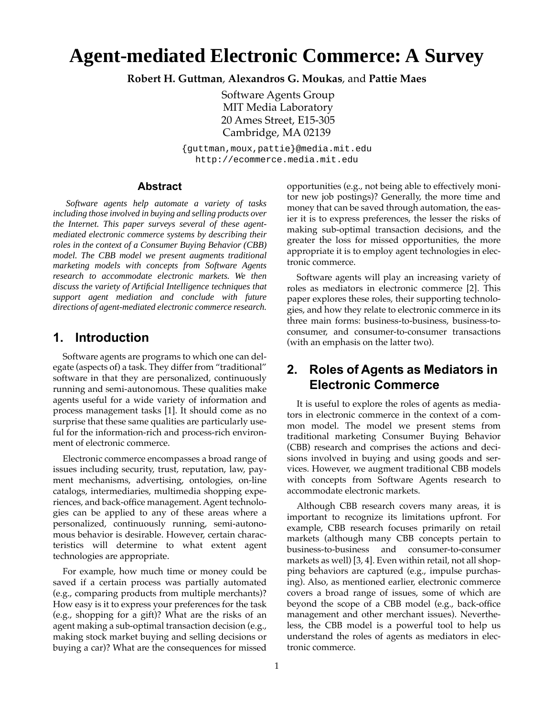# **Agent-mediated Electronic Commerce: A Survey**

**Robert H. Guttman**, **Alexandros G. Moukas**, and **Pattie Maes**

 Software Agents Group MIT Media Laboratory 20 Ames Street, E15-305 Cambridge, MA 02139

{guttman,moux,pattie}@media.mit.edu http://ecommerce.media.mit.edu

#### **Abstract**

*Software agents help automate a variety of tasks including those involved in buying and selling products over the Internet. This paper surveys several of these agentmediated electronic commerce systems by describing their roles in the context of a Consumer Buying Behavior (CBB) model. The CBB model we present augments traditional marketing models with concepts from Software Agents research to accommodate electronic markets. We then discuss the variety of Artificial Intelligence techniques that support agent mediation and conclude with future directions of agent-mediated electronic commerce research.*

### **1. Introduction**

Software agents are programs to which one can delegate (aspects of) a task. They differ from "traditional" software in that they are personalized, continuously running and semi-autonomous. These qualities make agents useful for a wide variety of information and process management tasks [1]. It should come as no surprise that these same qualities are particularly useful for the information-rich and process-rich environment of electronic commerce.

Electronic commerce encompasses a broad range of issues including security, trust, reputation, law, payment mechanisms, advertising, ontologies, on-line catalogs, intermediaries, multimedia shopping experiences, and back-office management. Agent technologies can be applied to any of these areas where a personalized, continuously running, semi-autonomous behavior is desirable. However, certain characteristics will determine to what extent agent technologies are appropriate.

For example, how much time or money could be saved if a certain process was partially automated (e.g., comparing products from multiple merchants)? How easy is it to express your preferences for the task (e.g., shopping for a gift)? What are the risks of an agent making a sub-optimal transaction decision (e.g., making stock market buying and selling decisions or buying a car)? What are the consequences for missed

opportunities (e.g., not being able to effectively monitor new job postings)? Generally, the more time and money that can be saved through automation, the easier it is to express preferences, the lesser the risks of making sub-optimal transaction decisions, and the greater the loss for missed opportunities, the more appropriate it is to employ agent technologies in electronic commerce.

Software agents will play an increasing variety of roles as mediators in electronic commerce [2]. This paper explores these roles, their supporting technologies, and how they relate to electronic commerce in its three main forms: business-to-business, business-toconsumer, and consumer-to-consumer transactions (with an emphasis on the latter two).

# **2. Roles of Agents as Mediators in Electronic Commerce**

It is useful to explore the roles of agents as mediators in electronic commerce in the context of a common model. The model we present stems from traditional marketing Consumer Buying Behavior (CBB) research and comprises the actions and decisions involved in buying and using goods and services. However, we augment traditional CBB models with concepts from Software Agents research to accommodate electronic markets.

Although CBB research covers many areas, it is important to recognize its limitations upfront. For example, CBB research focuses primarily on retail markets (although many CBB concepts pertain to business-to-business and consumer-to-consumer markets as well) [3, 4]. Even within retail, not all shopping behaviors are captured (e.g., impulse purchasing). Also, as mentioned earlier, electronic commerce covers a broad range of issues, some of which are beyond the scope of a CBB model (e.g., back-office management and other merchant issues). Nevertheless, the CBB model is a powerful tool to help us understand the roles of agents as mediators in electronic commerce.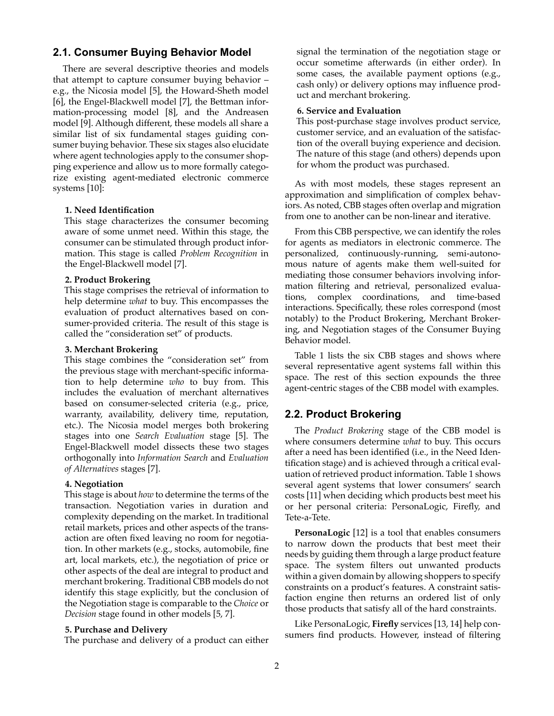#### **2.1. Consumer Buying Behavior Model**

There are several descriptive theories and models that attempt to capture consumer buying behavior – e.g., the Nicosia model [5], the Howard-Sheth model [6], the Engel-Blackwell model [7], the Bettman information-processing model [8], and the Andreasen model [9]. Although different, these models all share a similar list of six fundamental stages guiding consumer buying behavior. These six stages also elucidate where agent technologies apply to the consumer shopping experience and allow us to more formally categorize existing agent-mediated electronic commerce systems [10]:

#### **1. Need Identification**

This stage characterizes the consumer becoming aware of some unmet need. Within this stage, the consumer can be stimulated through product information. This stage is called *Problem Recognition* in the Engel-Blackwell model [7].

#### **2. Product Brokering**

This stage comprises the retrieval of information to help determine *what* to buy. This encompasses the evaluation of product alternatives based on consumer-provided criteria. The result of this stage is called the "consideration set" of products.

#### **3. Merchant Brokering**

This stage combines the "consideration set" from the previous stage with merchant-specific information to help determine *who* to buy from. This includes the evaluation of merchant alternatives based on consumer-selected criteria (e.g., price, warranty, availability, delivery time, reputation, etc.). The Nicosia model merges both brokering stages into one *Search Evaluation* stage [5]. The Engel-Blackwell model dissects these two stages orthogonally into *Information Search* and *Evaluation of Alternatives* stages [7].

#### **4. Negotiation**

This stage is about *how* to determine the terms of the transaction. Negotiation varies in duration and complexity depending on the market. In traditional retail markets, prices and other aspects of the transaction are often fixed leaving no room for negotiation. In other markets (e.g., stocks, automobile, fine art, local markets, etc.), the negotiation of price or other aspects of the deal are integral to product and merchant brokering. Traditional CBB models do not identify this stage explicitly, but the conclusion of the Negotiation stage is comparable to the *Choice* or *Decision* stage found in other models [5, 7].

#### **5. Purchase and Delivery**

The purchase and delivery of a product can either

signal the termination of the negotiation stage or occur sometime afterwards (in either order). In some cases, the available payment options (e.g., cash only) or delivery options may influence product and merchant brokering.

#### **6. Service and Evaluation**

This post-purchase stage involves product service, customer service, and an evaluation of the satisfaction of the overall buying experience and decision. The nature of this stage (and others) depends upon for whom the product was purchased.

As with most models, these stages represent an approximation and simplification of complex behaviors. As noted, CBB stages often overlap and migration from one to another can be non-linear and iterative.

From this CBB perspective, we can identify the roles for agents as mediators in electronic commerce. The personalized, continuously-running, semi-autonomous nature of agents make them well-suited for mediating those consumer behaviors involving information filtering and retrieval, personalized evaluations, complex coordinations, and time-based interactions. Specifically, these roles correspond (most notably) to the Product Brokering, Merchant Brokering, and Negotiation stages of the Consumer Buying Behavior model.

Table 1 lists the six CBB stages and shows where several representative agent systems fall within this space. The rest of this section expounds the three agent-centric stages of the CBB model with examples.

#### **2.2. Product Brokering**

The *Product Brokering* stage of the CBB model is where consumers determine *what* to buy. This occurs after a need has been identified (i.e., in the Need Identification stage) and is achieved through a critical evaluation of retrieved product information. Table 1 shows several agent systems that lower consumers' search costs [11] when deciding which products best meet his or her personal criteria: PersonaLogic, Firefly, and Tete-a-Tete.

**PersonaLogic** [12] is a tool that enables consumers to narrow down the products that best meet their needs by guiding them through a large product feature space. The system filters out unwanted products within a given domain by allowing shoppers to specify constraints on a product's features. A constraint satisfaction engine then returns an ordered list of only those products that satisfy all of the hard constraints.

Like PersonaLogic, **Firefly** services [13, 14] help consumers find products. However, instead of filtering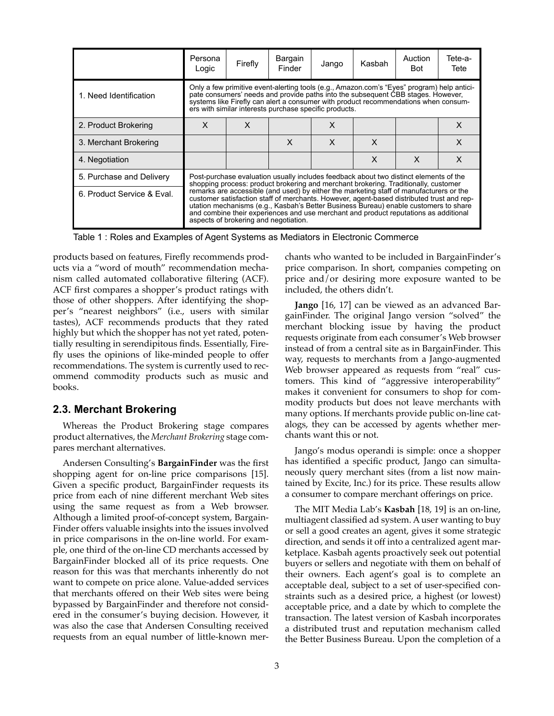|                            | Persona<br>Logic                                                                                                                                                                                                                                                                                                                                                                                                                                                                                                                                                                              | Firefly | Bargain<br>Finder | Jango | Kasbah | Auction<br><b>Bot</b> | Tete-a-<br>Tete |
|----------------------------|-----------------------------------------------------------------------------------------------------------------------------------------------------------------------------------------------------------------------------------------------------------------------------------------------------------------------------------------------------------------------------------------------------------------------------------------------------------------------------------------------------------------------------------------------------------------------------------------------|---------|-------------------|-------|--------|-----------------------|-----------------|
| 1. Need Identification     | Only a few primitive event-alerting tools (e.g., Amazon.com's "Eyes" program) help antici-<br>pate consumers' needs and provide paths into the subsequent CBB stages. However,<br>systems like Firefly can alert a consumer with product recommendations when consum-<br>ers with similar interests purchase specific products.                                                                                                                                                                                                                                                               |         |                   |       |        |                       |                 |
| 2. Product Brokering       | X                                                                                                                                                                                                                                                                                                                                                                                                                                                                                                                                                                                             | X       |                   | X     |        |                       | X               |
| 3. Merchant Brokering      |                                                                                                                                                                                                                                                                                                                                                                                                                                                                                                                                                                                               |         | X                 | X     | X      |                       | X               |
| 4. Negotiation             |                                                                                                                                                                                                                                                                                                                                                                                                                                                                                                                                                                                               |         |                   |       | X      | X                     | X               |
| 5. Purchase and Delivery   | Post-purchase evaluation usually includes feedback about two distinct elements of the<br>shopping process: product brokering and merchant brokering. Traditionally, customer<br>remarks are accessible (and used) by either the marketing staff of manufacturers or the<br>customer satisfaction staff of merchants. However, agent-based distributed trust and rep-<br>utation mechanisms (e.g., Kasbah's Better Business Bureau) enable customers to share<br>and combine their experiences and use merchant and product reputations as additional<br>aspects of brokering and negotiation. |         |                   |       |        |                       |                 |
| 6. Product Service & Eval. |                                                                                                                                                                                                                                                                                                                                                                                                                                                                                                                                                                                               |         |                   |       |        |                       |                 |

Table 1 : Roles and Examples of Agent Systems as Mediators in Electronic Commerce

products based on features, Firefly recommends products via a "word of mouth" recommendation mechanism called automated collaborative filtering (ACF). ACF first compares a shopper's product ratings with those of other shoppers. After identifying the shopper's "nearest neighbors" (i.e., users with similar tastes), ACF recommends products that they rated highly but which the shopper has not yet rated, potentially resulting in serendipitous finds. Essentially, Firefly uses the opinions of like-minded people to offer recommendations. The system is currently used to recommend commodity products such as music and books.

#### **2.3. Merchant Brokering**

Whereas the Product Brokering stage compares product alternatives, the *Merchant Brokering* stage compares merchant alternatives.

Andersen Consulting's **BargainFinder** was the first shopping agent for on-line price comparisons [15]. Given a specific product, BargainFinder requests its price from each of nine different merchant Web sites using the same request as from a Web browser. Although a limited proof-of-concept system, Bargain-Finder offers valuable insights into the issues involved in price comparisons in the on-line world. For example, one third of the on-line CD merchants accessed by BargainFinder blocked all of its price requests. One reason for this was that merchants inherently do not want to compete on price alone. Value-added services that merchants offered on their Web sites were being bypassed by BargainFinder and therefore not considered in the consumer's buying decision. However, it was also the case that Andersen Consulting received requests from an equal number of little-known merchants who wanted to be included in BargainFinder's price comparison. In short, companies competing on price and/or desiring more exposure wanted to be included, the others didn't.

**Jango** [16, 17] can be viewed as an advanced BargainFinder. The original Jango version "solved" the merchant blocking issue by having the product requests originate from each consumer's Web browser instead of from a central site as in BargainFinder. This way, requests to merchants from a Jango-augmented Web browser appeared as requests from "real" customers. This kind of "aggressive interoperability" makes it convenient for consumers to shop for commodity products but does not leave merchants with many options. If merchants provide public on-line catalogs, they can be accessed by agents whether merchants want this or not.

Jango's modus operandi is simple: once a shopper has identified a specific product, Jango can simultaneously query merchant sites (from a list now maintained by Excite, Inc.) for its price. These results allow a consumer to compare merchant offerings on price.

The MIT Media Lab's **Kasbah** [18, 19] is an on-line, multiagent classified ad system. A user wanting to buy or sell a good creates an agent, gives it some strategic direction, and sends it off into a centralized agent marketplace. Kasbah agents proactively seek out potential buyers or sellers and negotiate with them on behalf of their owners. Each agent's goal is to complete an acceptable deal, subject to a set of user-specified constraints such as a desired price, a highest (or lowest) acceptable price, and a date by which to complete the transaction. The latest version of Kasbah incorporates a distributed trust and reputation mechanism called the Better Business Bureau. Upon the completion of a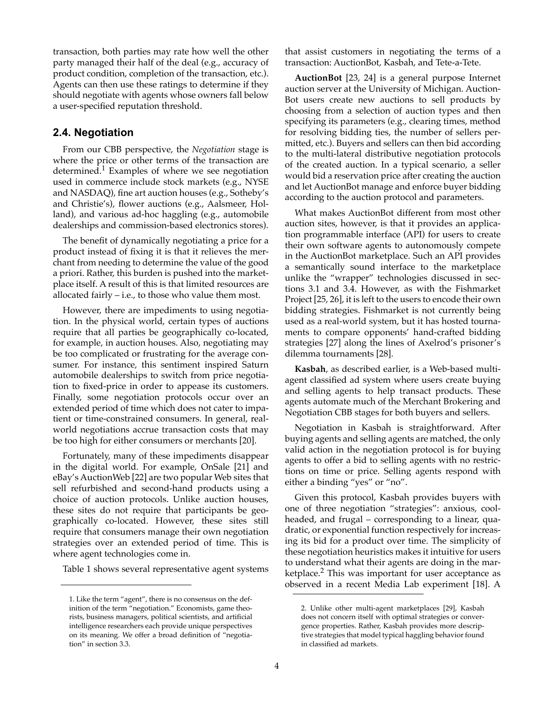transaction, both parties may rate how well the other party managed their half of the deal (e.g., accuracy of product condition, completion of the transaction, etc.). Agents can then use these ratings to determine if they should negotiate with agents whose owners fall below a user-specified reputation threshold.

#### **2.4. Negotiation**

From our CBB perspective, the *Negotiation* stage is where the price or other terms of the transaction are determined.<sup>1</sup> Examples of where we see negotiation used in commerce include stock markets (e.g., NYSE and NASDAQ), fine art auction houses (e.g., Sotheby's and Christie's), flower auctions (e.g., Aalsmeer, Holland), and various ad-hoc haggling (e.g., automobile dealerships and commission-based electronics stores).

The benefit of dynamically negotiating a price for a product instead of fixing it is that it relieves the merchant from needing to determine the value of the good a priori. Rather, this burden is pushed into the marketplace itself. A result of this is that limited resources are allocated fairly – i.e., to those who value them most.

However, there are impediments to using negotiation. In the physical world, certain types of auctions require that all parties be geographically co-located, for example, in auction houses. Also, negotiating may be too complicated or frustrating for the average consumer. For instance, this sentiment inspired Saturn automobile dealerships to switch from price negotiation to fixed-price in order to appease its customers. Finally, some negotiation protocols occur over an extended period of time which does not cater to impatient or time-constrained consumers. In general, realworld negotiations accrue transaction costs that may be too high for either consumers or merchants [20].

Fortunately, many of these impediments disappear in the digital world. For example, OnSale [21] and eBay's AuctionWeb [22] are two popular Web sites that sell refurbished and second-hand products using a choice of auction protocols. Unlike auction houses, these sites do not require that participants be geographically co-located. However, these sites still require that consumers manage their own negotiation strategies over an extended period of time. This is where agent technologies come in.

Table 1 shows several representative agent systems

that assist customers in negotiating the terms of a transaction: AuctionBot, Kasbah, and Tete-a-Tete.

**AuctionBot** [23, 24] is a general purpose Internet auction server at the University of Michigan. Auction-Bot users create new auctions to sell products by choosing from a selection of auction types and then specifying its parameters (e.g., clearing times, method for resolving bidding ties, the number of sellers permitted, etc.). Buyers and sellers can then bid according to the multi-lateral distributive negotiation protocols of the created auction. In a typical scenario, a seller would bid a reservation price after creating the auction and let AuctionBot manage and enforce buyer bidding according to the auction protocol and parameters.

What makes AuctionBot different from most other auction sites, however, is that it provides an application programmable interface (API) for users to create their own software agents to autonomously compete in the AuctionBot marketplace. Such an API provides a semantically sound interface to the marketplace unlike the "wrapper" technologies discussed in sections 3.1 and 3.4. However, as with the Fishmarket Project [25, 26], it is left to the users to encode their own bidding strategies. Fishmarket is not currently being used as a real-world system, but it has hosted tournaments to compare opponents' hand-crafted bidding strategies [27] along the lines of Axelrod's prisoner's dilemma tournaments [28].

**Kasbah**, as described earlier, is a Web-based multiagent classified ad system where users create buying and selling agents to help transact products. These agents automate much of the Merchant Brokering and Negotiation CBB stages for both buyers and sellers.

Negotiation in Kasbah is straightforward. After buying agents and selling agents are matched, the only valid action in the negotiation protocol is for buying agents to offer a bid to selling agents with no restrictions on time or price. Selling agents respond with either a binding "yes" or "no".

Given this protocol, Kasbah provides buyers with one of three negotiation "strategies": anxious, coolheaded, and frugal – corresponding to a linear, quadratic, or exponential function respectively for increasing its bid for a product over time. The simplicity of these negotiation heuristics makes it intuitive for users to understand what their agents are doing in the marketplace.<sup>2</sup> This was important for user acceptance as observed in a recent Media Lab experiment [18]. A

<sup>1.</sup> Like the term "agent", there is no consensus on the definition of the term "negotiation." Economists, game theorists, business managers, political scientists, and artificial intelligence researchers each provide unique perspectives on its meaning. We offer a broad definition of "negotiation" in section 3.3.

<sup>2.</sup> Unlike other multi-agent marketplaces [29], Kasbah does not concern itself with optimal strategies or convergence properties. Rather, Kasbah provides more descriptive strategies that model typical haggling behavior found in classified ad markets.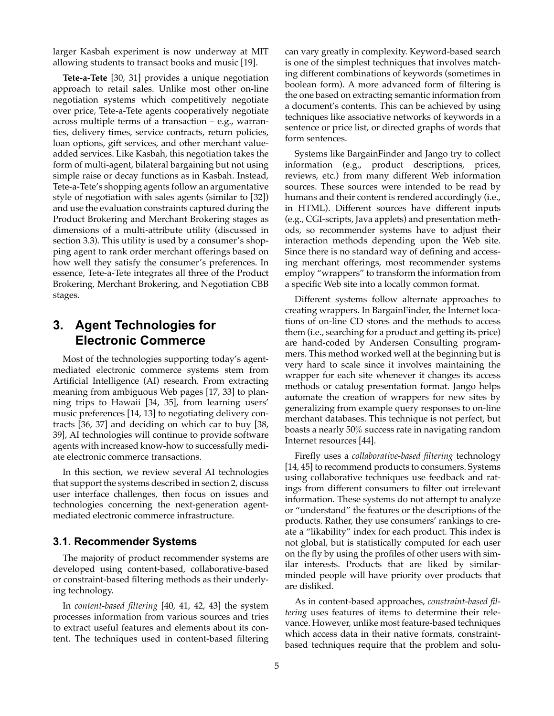larger Kasbah experiment is now underway at MIT allowing students to transact books and music [19].

**Tete-a-Tete** [30, 31] provides a unique negotiation approach to retail sales. Unlike most other on-line negotiation systems which competitively negotiate over price, Tete-a-Tete agents cooperatively negotiate across multiple terms of a transaction – e.g., warranties, delivery times, service contracts, return policies, loan options, gift services, and other merchant valueadded services. Like Kasbah, this negotiation takes the form of multi-agent, bilateral bargaining but not using simple raise or decay functions as in Kasbah. Instead, Tete-a-Tete's shopping agents follow an argumentative style of negotiation with sales agents (similar to [32]) and use the evaluation constraints captured during the Product Brokering and Merchant Brokering stages as dimensions of a multi-attribute utility (discussed in section 3.3). This utility is used by a consumer's shopping agent to rank order merchant offerings based on how well they satisfy the consumer's preferences. In essence, Tete-a-Tete integrates all three of the Product Brokering, Merchant Brokering, and Negotiation CBB stages.

# **3. Agent Technologies for Electronic Commerce**

Most of the technologies supporting today's agentmediated electronic commerce systems stem from Artificial Intelligence (AI) research. From extracting meaning from ambiguous Web pages [17, 33] to planning trips to Hawaii [34, 35], from learning users' music preferences [14, 13] to negotiating delivery contracts [36, 37] and deciding on which car to buy [38, 39], AI technologies will continue to provide software agents with increased know-how to successfully mediate electronic commerce transactions.

In this section, we review several AI technologies that support the systems described in section 2, discuss user interface challenges, then focus on issues and technologies concerning the next-generation agentmediated electronic commerce infrastructure.

#### **3.1. Recommender Systems**

The majority of product recommender systems are developed using content-based, collaborative-based or constraint-based filtering methods as their underlying technology.

In *content-based filtering* [40, 41, 42, 43] the system processes information from various sources and tries to extract useful features and elements about its content. The techniques used in content-based filtering can vary greatly in complexity. Keyword-based search is one of the simplest techniques that involves matching different combinations of keywords (sometimes in boolean form). A more advanced form of filtering is the one based on extracting semantic information from a document's contents. This can be achieved by using techniques like associative networks of keywords in a sentence or price list, or directed graphs of words that form sentences.

Systems like BargainFinder and Jango try to collect information (e.g., product descriptions, prices, reviews, etc.) from many different Web information sources. These sources were intended to be read by humans and their content is rendered accordingly (i.e., in HTML). Different sources have different inputs (e.g., CGI-scripts, Java applets) and presentation methods, so recommender systems have to adjust their interaction methods depending upon the Web site. Since there is no standard way of defining and accessing merchant offerings, most recommender systems employ "wrappers" to transform the information from a specific Web site into a locally common format.

Different systems follow alternate approaches to creating wrappers. In BargainFinder, the Internet locations of on-line CD stores and the methods to access them (i.e., searching for a product and getting its price) are hand-coded by Andersen Consulting programmers. This method worked well at the beginning but is very hard to scale since it involves maintaining the wrapper for each site whenever it changes its access methods or catalog presentation format. Jango helps automate the creation of wrappers for new sites by generalizing from example query responses to on-line merchant databases. This technique is not perfect, but boasts a nearly 50% success rate in navigating random Internet resources [44].

Firefly uses a *collaborative-based filtering* technology [14, 45] to recommend products to consumers. Systems using collaborative techniques use feedback and ratings from different consumers to filter out irrelevant information. These systems do not attempt to analyze or "understand" the features or the descriptions of the products. Rather, they use consumers' rankings to create a "likability" index for each product. This index is not global, but is statistically computed for each user on the fly by using the profiles of other users with similar interests. Products that are liked by similarminded people will have priority over products that are disliked.

As in content-based approaches, *constraint-based filtering* uses features of items to determine their relevance. However, unlike most feature-based techniques which access data in their native formats, constraintbased techniques require that the problem and solu-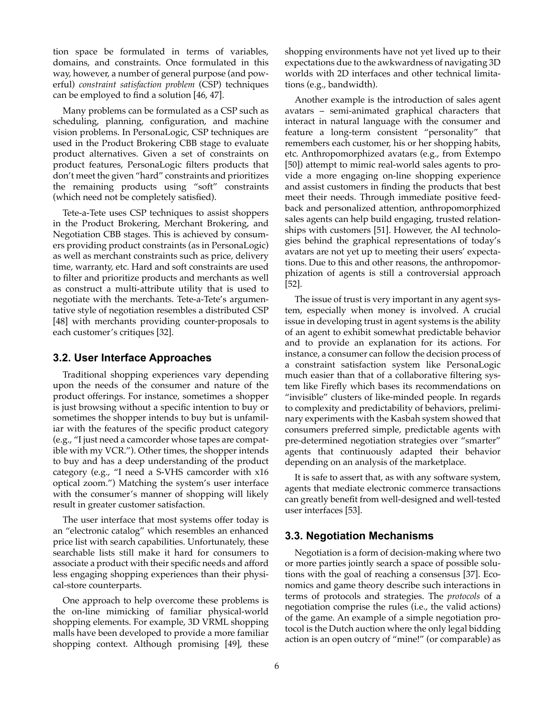tion space be formulated in terms of variables, domains, and constraints. Once formulated in this way, however, a number of general purpose (and powerful) *constraint satisfaction problem* (CSP) techniques can be employed to find a solution [46, 47].

Many problems can be formulated as a CSP such as scheduling, planning, configuration, and machine vision problems. In PersonaLogic, CSP techniques are used in the Product Brokering CBB stage to evaluate product alternatives. Given a set of constraints on product features, PersonaLogic filters products that don't meet the given "hard" constraints and prioritizes the remaining products using "soft" constraints (which need not be completely satisfied).

Tete-a-Tete uses CSP techniques to assist shoppers in the Product Brokering, Merchant Brokering, and Negotiation CBB stages. This is achieved by consumers providing product constraints (as in PersonaLogic) as well as merchant constraints such as price, delivery time, warranty, etc. Hard and soft constraints are used to filter and prioritize products and merchants as well as construct a multi-attribute utility that is used to negotiate with the merchants. Tete-a-Tete's argumentative style of negotiation resembles a distributed CSP [48] with merchants providing counter-proposals to each customer's critiques [32].

#### **3.2. User Interface Approaches**

Traditional shopping experiences vary depending upon the needs of the consumer and nature of the product offerings. For instance, sometimes a shopper is just browsing without a specific intention to buy or sometimes the shopper intends to buy but is unfamiliar with the features of the specific product category (e.g., "I just need a camcorder whose tapes are compatible with my VCR."). Other times, the shopper intends to buy and has a deep understanding of the product category (e.g., "I need a S-VHS camcorder with x16 optical zoom.") Matching the system's user interface with the consumer's manner of shopping will likely result in greater customer satisfaction.

The user interface that most systems offer today is an "electronic catalog" which resembles an enhanced price list with search capabilities. Unfortunately, these searchable lists still make it hard for consumers to associate a product with their specific needs and afford less engaging shopping experiences than their physical-store counterparts.

One approach to help overcome these problems is the on-line mimicking of familiar physical-world shopping elements. For example, 3D VRML shopping malls have been developed to provide a more familiar shopping context. Although promising [49], these shopping environments have not yet lived up to their expectations due to the awkwardness of navigating 3D worlds with 2D interfaces and other technical limitations (e.g., bandwidth).

Another example is the introduction of sales agent avatars – semi-animated graphical characters that interact in natural language with the consumer and feature a long-term consistent "personality" that remembers each customer, his or her shopping habits, etc. Anthropomorphized avatars (e.g., from Extempo [50]) attempt to mimic real-world sales agents to provide a more engaging on-line shopping experience and assist customers in finding the products that best meet their needs. Through immediate positive feedback and personalized attention, anthropomorphized sales agents can help build engaging, trusted relationships with customers [51]. However, the AI technologies behind the graphical representations of today's avatars are not yet up to meeting their users' expectations. Due to this and other reasons, the anthropomorphization of agents is still a controversial approach [52].

The issue of trust is very important in any agent system, especially when money is involved. A crucial issue in developing trust in agent systems is the ability of an agent to exhibit somewhat predictable behavior and to provide an explanation for its actions. For instance, a consumer can follow the decision process of a constraint satisfaction system like PersonaLogic much easier than that of a collaborative filtering system like Firefly which bases its recommendations on "invisible" clusters of like-minded people. In regards to complexity and predictability of behaviors, preliminary experiments with the Kasbah system showed that consumers preferred simple, predictable agents with pre-determined negotiation strategies over "smarter" agents that continuously adapted their behavior depending on an analysis of the marketplace.

It is safe to assert that, as with any software system, agents that mediate electronic commerce transactions can greatly benefit from well-designed and well-tested user interfaces [53].

#### **3.3. Negotiation Mechanisms**

Negotiation is a form of decision-making where two or more parties jointly search a space of possible solutions with the goal of reaching a consensus [37]. Economics and game theory describe such interactions in terms of protocols and strategies. The *protocols* of a negotiation comprise the rules (i.e., the valid actions) of the game. An example of a simple negotiation protocol is the Dutch auction where the only legal bidding action is an open outcry of "mine!" (or comparable) as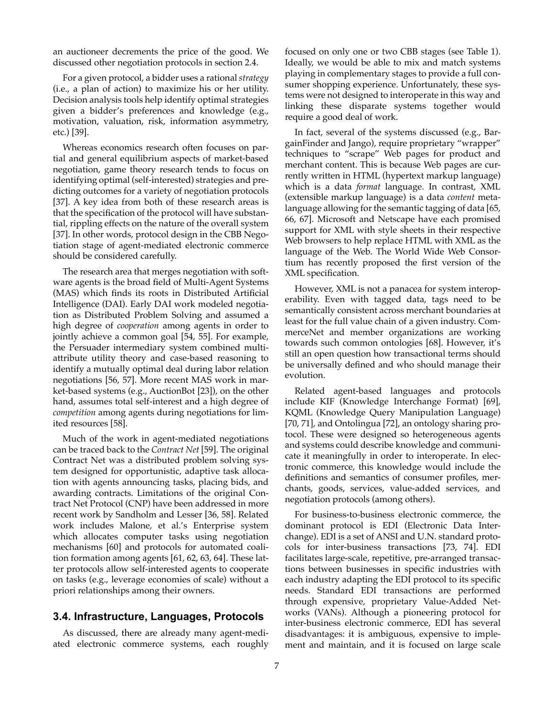an auctioneer decrements the price of the good. We discussed other negotiation protocols in section 2.4.

For a given protocol, a bidder uses a rational *strategy* (i.e., a plan of action) to maximize his or her utility. Decision analysis tools help identify optimal strategies given a bidder's preferences and knowledge (e.g., motivation, valuation, risk, information asymmetry, etc.) [39].

Whereas economics research often focuses on partial and general equilibrium aspects of market-based negotiation, game theory research tends to focus on identifying optimal (self-interested) strategies and predicting outcomes for a variety of negotiation protocols [37]. A key idea from both of these research areas is that the specification of the protocol will have substantial, rippling effects on the nature of the overall system [37]. In other words, protocol design in the CBB Negotiation stage of agent-mediated electronic commerce should be considered carefully.

The research area that merges negotiation with software agents is the broad field of Multi-Agent Systems (MAS) which finds its roots in Distributed Artificial Intelligence (DAI). Early DAI work modeled negotiation as Distributed Problem Solving and assumed a high degree of *cooperation* among agents in order to jointly achieve a common goal [54, 55]. For example, the Persuader intermediary system combined multiattribute utility theory and case-based reasoning to identify a mutually optimal deal during labor relation negotiations [56, 57]. More recent MAS work in market-based systems (e.g., AuctionBot [23]), on the other hand, assumes total self-interest and a high degree of *competition* among agents during negotiations for limited resources [58].

Much of the work in agent-mediated negotiations can be traced back to the *Contract Net* [59]. The original Contract Net was a distributed problem solving system designed for opportunistic, adaptive task allocation with agents announcing tasks, placing bids, and awarding contracts. Limitations of the original Contract Net Protocol (CNP) have been addressed in more recent work by Sandholm and Lesser [36, 58]. Related work includes Malone, et al.'s Enterprise system which allocates computer tasks using negotiation mechanisms [60] and protocols for automated coalition formation among agents [61, 62, 63, 64]. These latter protocols allow self-interested agents to cooperate on tasks (e.g., leverage economies of scale) without a priori relationships among their owners.

#### **3.4. Infrastructure, Languages, Protocols**

As discussed, there are already many agent-mediated electronic commerce systems, each roughly focused on only one or two CBB stages (see Table 1). Ideally, we would be able to mix and match systems playing in complementary stages to provide a full consumer shopping experience. Unfortunately, these systems were not designed to interoperate in this way and linking these disparate systems together would require a good deal of work.

In fact, several of the systems discussed (e.g., BargainFinder and Jango), require proprietary "wrapper" techniques to "scrape" Web pages for product and merchant content. This is because Web pages are currently written in HTML (hypertext markup language) which is a data *format* language. In contrast, XML (extensible markup language) is a data *content* metalanguage allowing for the semantic tagging of data [65, 66, 67]. Microsoft and Netscape have each promised support for XML with style sheets in their respective Web browsers to help replace HTML with XML as the language of the Web. The World Wide Web Consortium has recently proposed the first version of the XML specification.

However, XML is not a panacea for system interoperability. Even with tagged data, tags need to be semantically consistent across merchant boundaries at least for the full value chain of a given industry. CommerceNet and member organizations are working towards such common ontologies [68]. However, it's still an open question how transactional terms should be universally defined and who should manage their evolution.

Related agent-based languages and protocols include KIF (Knowledge Interchange Format) [69], KQML (Knowledge Query Manipulation Language) [70, 71], and Ontolingua [72], an ontology sharing protocol. These were designed so heterogeneous agents and systems could describe knowledge and communicate it meaningfully in order to interoperate. In electronic commerce, this knowledge would include the definitions and semantics of consumer profiles, merchants, goods, services, value-added services, and negotiation protocols (among others).

For business-to-business electronic commerce, the dominant protocol is EDI (Electronic Data Interchange). EDI is a set of ANSI and U.N. standard protocols for inter-business transactions [73, 74]. EDI facilitates large-scale, repetitive, pre-arranged transactions between businesses in specific industries with each industry adapting the EDI protocol to its specific needs. Standard EDI transactions are performed through expensive, proprietary Value-Added Networks (VANs). Although a pioneering protocol for inter-business electronic commerce, EDI has several disadvantages: it is ambiguous, expensive to implement and maintain, and it is focused on large scale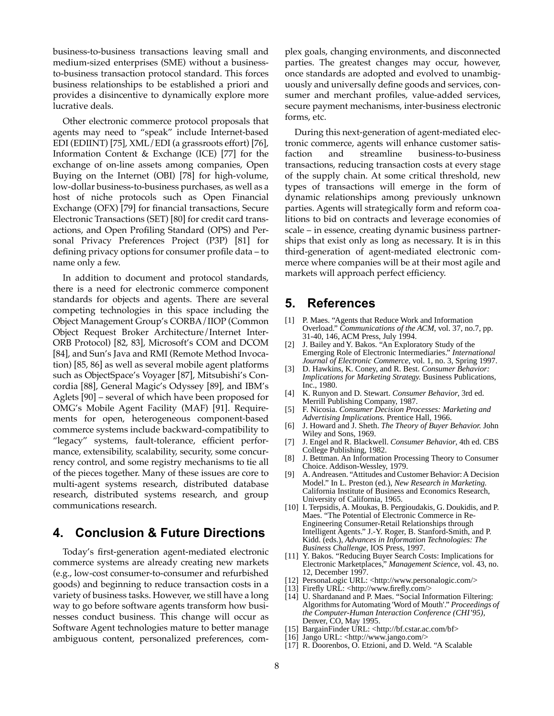business-to-business transactions leaving small and medium-sized enterprises (SME) without a businessto-business transaction protocol standard. This forces business relationships to be established a priori and provides a disincentive to dynamically explore more lucrative deals.

Other electronic commerce protocol proposals that agents may need to "speak" include Internet-based EDI (EDIINT) [75], XML/EDI (a grassroots effort) [76], Information Content & Exchange (ICE) [77] for the exchange of on-line assets among companies, Open Buying on the Internet (OBI) [78] for high-volume, low-dollar business-to-business purchases, as well as a host of niche protocols such as Open Financial Exchange (OFX) [79] for financial transactions, Secure Electronic Transactions (SET) [80] for credit card transactions, and Open Profiling Standard (OPS) and Personal Privacy Preferences Project (P3P) [81] for defining privacy options for consumer profile data – to name only a few.

In addition to document and protocol standards, there is a need for electronic commerce component standards for objects and agents. There are several competing technologies in this space including the Object Management Group's CORBA/IIOP (Common Object Request Broker Architecture/Internet Inter-ORB Protocol) [82, 83], Microsoft's COM and DCOM [84], and Sun's Java and RMI (Remote Method Invocation) [85, 86] as well as several mobile agent platforms such as ObjectSpace's Voyager [87], Mitsubishi's Concordia [88], General Magic's Odyssey [89], and IBM's Aglets [90] – several of which have been proposed for OMG's Mobile Agent Facility (MAF) [91]. Requirements for open, heterogeneous component-based commerce systems include backward-compatibility to "legacy" systems, fault-tolerance, efficient performance, extensibility, scalability, security, some concurrency control, and some registry mechanisms to tie all of the pieces together. Many of these issues are core to multi-agent systems research, distributed database research, distributed systems research, and group communications research.

## **4. Conclusion & Future Directions**

Today's first-generation agent-mediated electronic commerce systems are already creating new markets (e.g., low-cost consumer-to-consumer and refurbished goods) and beginning to reduce transaction costs in a variety of business tasks. However, we still have a long way to go before software agents transform how businesses conduct business. This change will occur as Software Agent technologies mature to better manage ambiguous content, personalized preferences, complex goals, changing environments, and disconnected parties. The greatest changes may occur, however, once standards are adopted and evolved to unambiguously and universally define goods and services, consumer and merchant profiles, value-added services, secure payment mechanisms, inter-business electronic forms, etc.

During this next-generation of agent-mediated electronic commerce, agents will enhance customer satisfaction and streamline business-to-business transactions, reducing transaction costs at every stage of the supply chain. At some critical threshold, new types of transactions will emerge in the form of dynamic relationships among previously unknown parties. Agents will strategically form and reform coalitions to bid on contracts and leverage economies of scale – in essence, creating dynamic business partnerships that exist only as long as necessary. It is in this third-generation of agent-mediated electronic commerce where companies will be at their most agile and markets will approach perfect efficiency.

### **5. References**

- [1] P. Maes. "Agents that Reduce Work and Information Overload." *Communications of the ACM*, vol. 37, no.7, pp. 31-40, 146, ACM Press, July 1994.
- [2] J. Bailey and Y. Bakos. "An Exploratory Study of the Emerging Role of Electronic Intermediaries." *International Journal of Electronic Commerce*, vol. 1, no. 3, Spring 1997.
- [3] D. Hawkins, K. Coney, and R. Best. *Consumer Behavior: Implications for Marketing Strategy.* Business Publications, Inc., 1980.
- [4] K. Runyon and D. Stewart. *Consumer Behavior*, 3rd ed. Merrill Publishing Company, 1987.
- [5] F. Nicosia. *Consumer Decision Processes: Marketing and Advertising Implications.* Prentice Hall, 1966.
- [6] J. Howard and J. Sheth. *The Theory of Buyer Behavior.* John Wiley and Sons, 1969.
- [7] J. Engel and R. Blackwell. *Consumer Behavior*, 4th ed. CBS College Publishing, 1982.
- [8] J. Bettman. An Information Processing Theory to Consumer Choice. Addison-Wessley, 1979.
- [9] A. Andreasen. "Attitudes and Customer Behavior: A Decision Model." In L. Preston (ed.), *New Research in Marketing.* California Institute of Business and Economics Research, University of California, 1965.
- [10] I. Terpsidis, A. Moukas, B. Pergioudakis, G. Doukidis, and P. Maes. "The Potential of Electronic Commerce in Re-Engineering Consumer-Retail Relationships through Intelligent Agents." J.-Y. Roger, B. Stanford-Smith, and P. Kidd. (eds.), *Advances in Information Technologies: The Business Challenge*, IOS Press, 1997.
- [11] Y. Bakos. "Reducing Buyer Search Costs: Implications for Electronic Marketplaces," *Management Science*, vol. 43, no. 12, December 1997.
- [12] PersonaLogic URL: <http://www.personalogic.com/>
- [13] Firefly URL: <http://www.firefly.com/>
- [14] U. Shardanand and P. Maes. "Social Information Filtering: Algorithms for Automating 'Word of Mouth'." *Proceedings of the Computer-Human Interaction Conference (CHI'95),*  Denver, CO, May 1995.
- [15] BargainFinder URL: <http://bf.cstar.ac.com/bf>
- [16] Jango URL: <http://www.jango.com/>
- [17] R. Doorenbos, O. Etzioni, and D. Weld. "A Scalable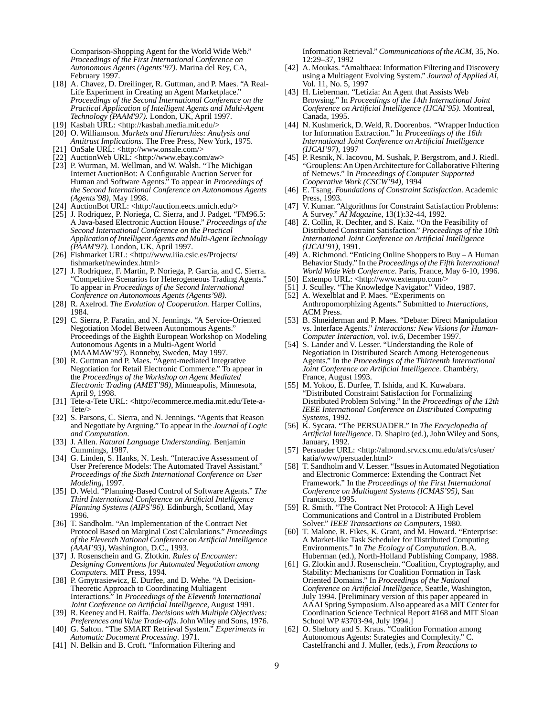Comparison-Shopping Agent for the World Wide Web." *Proceedings of the First International Conference on Autonomous Agents (Agents'97)*. Marina del Rey, CA, February 1997.

- [18] A. Chavez, D. Dreilinger, R. Guttman, and P. Maes. "A Real-Life Experiment in Creating an Agent Marketplace." *Proceedings of the Second International Conference on the Practical Application of Intelligent Agents and Multi-Agent Technology (PAAM'97).* London, UK, April 1997.
- [19] Kasbah URL: <http://kasbah.media.mit.edu/>
- [20] O. Williamson. *Markets and Hierarchies: Analysis and Antitrust Implications*. The Free Press, New York, 1975.
- [21] OnSale URL: <http://www.onsale.com/> [22] AuctionWeb URL: <http://www.ebay.com/aw>
- [23] P. Wurman, M. Wellman, and W. Walsh. "The Michigan Internet AuctionBot: A Configurable Auction Server for Human and Software Agents." To appear in *Proceedings of the Second International Conference on Autonomous Agents (Agents'98)*, May 1998.
- [24] AuctionBot URL: <http://auction.eecs.umich.edu/>
- [25] J. Rodriquez, P. Noriega, C. Sierra, and J. Padget. "FM96.5: A Java-based Electronic Auction House." *Proceedings of the Second International Conference on the Practical Application of Intelligent Agents and Multi-Agent Technology (PAAM'97).* London, UK, April 1997.
- [26] Fishmarket URL: <http://www.iiia.csic.es/Projects/ fishmarket/newindex.html>
- [27] J. Rodriquez, F. Martin, P. Noriega, P. Garcia, and C. Sierra. "Competitive Scenarios for Heterogeneous Trading Agents." To appear in *Proceedings of the Second International Conference on Autonomous Agents (Agents'98)*.
- [28] R. Axelrod. *The Evolution of Cooperation.* Harper Collins, 1984.
- [29] C. Sierra, P. Faratin, and N. Jennings. "A Service-Oriented Negotiation Model Between Autonomous Agents." Proceedings of the Eighth European Workshop on Modeling Autonomous Agents in a Multi-Agent World (MAAMAW'97). Ronneby, Sweden, May 1997.
- [30] R. Guttman and P. Maes. "Agent-mediated Integrative Negotiation for Retail Electronic Commerce." To appear in the *Proceedings of the Workshop on Agent Mediated Electronic Trading (AMET'98)*, Minneapolis, Minnesota, April 9, 1998.
- [31] Tete-a-Tete URL: <http://ecommerce.media.mit.edu/Tete-a-Tete/>
- [32] S. Parsons, C. Sierra, and N. Jennings. "Agents that Reason and Negotiate by Arguing." To appear in the *Journal of Logic and Computation*.
- [33] J. Allen. *Natural Language Understanding*. Benjamin Cummings, 1987.
- [34] G. Linden, S. Hanks, N. Lesh. "Interactive Assessment of User Preference Models: The Automated Travel Assistant." *Proceedings of the Sixth International Conference on User Modeling*, 1997.
- [35] D. Weld. "Planning-Based Control of Software Agents." *The Third International Conference on Artificial Intelligence Planning Systems (AIPS'96).* Edinburgh, Scotland, May 1996.
- [36] T. Sandholm. "An Implementation of the Contract Net Protocol Based on Marginal Cost Calculations." *Proceedings of the Eleventh National Conference on Artificial Intelligence (AAAI'93),* Washington, D.C., 1993.
- [37] J. Rosenschein and G. Zlotkin. *Rules of Encounter: Designing Conventions for Automated Negotiation among Computers.* MIT Press, 1994.
- [38] P. Gmytrasiewicz, E. Durfee, and D. Wehe. "A Decision-Theoretic Approach to Coordinating Multiagent Interactions." In *Proceedings of the Eleventh International Joint Conference on Artificial Intelligence*, August 1991.
- [39] R. Keeney and H. Raiffa. *Decisions with Multiple Objectives: Preferences and Value Trade-offs.* John Wiley and Sons, 1976.
- [40] G. Salton. "The SMART Retrieval System." *Experiments in Automatic Document Processing*. 1971.
- [41] N. Belkin and B. Croft. "Information Filtering and

Information Retrieval." *Communications of the ACM*, 35, No. 12:29–37, 1992

- [42] A. Moukas. "Amalthaea: Information Filtering and Discovery using a Multiagent Evolving System." *Journal of Applied AI*, Vol. 11, No. 5, 1997
- [43] H. Lieberman. "Letizia: An Agent that Assists Web Browsing." In *Proceedings of the 14th International Joint Conference on Artificial Intelligence (IJCAI'95)*. Montreal, Canada, 1995.
- [44] N. Kushmerick, D. Weld, R. Doorenbos. *"*Wrapper Induction for Information Extraction." In *Proceedings of the 16th International Joint Conference on Artificial Intelligence (IJCAI'97)*, 1997
- [45] P. Resnik, N. Iacovou, M. Sushak, P. Bergstrom, and J. Riedl. "Grouplens: An Open Architecture for Collaborative Filtering of Netnews." In *Proceedings of Computer Supported Cooperative Work (CSCW'94)*, 1994
- [46] E. Tsang. *Foundations of Constraint Satisfaction*. Academic Press, 1993.
- [47] V. Kumar. "Algorithms for Constraint Satisfaction Problems: A Survey." *AI Magazine*, 13(1):32-44, 1992.
- [48] Z. Collin, R. Dechter, and S. Kaiz. "On the Feasibility of Distributed Constraint Satisfaction." *Proceedings of the 10th International Joint Conference on Artificial Intelligence (IJCAI'91)*, 1991.
- [49] A. Richmond. "Enticing Online Shoppers to Buy A Human Behavior Study." In the *Proceedings of the Fifth International World Wide Web Conference*. Paris, France, May 6-10, 1996.
- [50] Extempo URL: <http://www.extempo.com/>
- [51] J. Sculley. "The Knowledge Navigator." Video, 1987.
- [52] A. Wexelblat and P. Maes. "Experiments on Anthropomorphizing Agents." Submitted to *Interactions*, ACM Press.
- [53] B. Shneiderman and P. Maes. "Debate: Direct Manipulation vs. Interface Agents." *Interactions: New Visions for Human-Computer Interaction*, vol. iv.6, December 1997.
- [54] S. Lander and V. Lesser. "Understanding the Role of Negotiation in Distributed Search Among Heterogeneous Agents." In the *Proceedings of the Thirteenth International Joint Conference on Artificial Intelligence*. Chambéry, France, August 1993.
- [55] M. Yokoo, E. Durfee, T. Ishida, and K. Kuwabara. "Distributed Constraint Satisfaction for Formalizing Distributed Problem Solving." In the *Proceedings of the 12th IEEE International Conference on Distributed Computing Systems*, 1992.
- [56] K. Sycara. "The PERSUADER." In *The Encyclopedia of Artificial Intelligence*. D. Shapiro (ed.), John Wiley and Sons, January, 1992.
- [57] Persuader URL: <http://almond.srv.cs.cmu.edu/afs/cs/user/ katia/www/persuader.html>
- [58] T. Sandholm and V. Lesser. "Issues in Automated Negotiation and Electronic Commerce: Extending the Contract Net Framework." In the *Proceedings of the First International Conference on Multiagent Systems (ICMAS'95)*, San Francisco, 1995.
- [59] R. Smith. "The Contract Net Protocol: A High Level Communications and Control in a Distributed Problem Solver." *IEEE Transactions on Computers*, 1980.
- [60] T. Malone, R. Fikes, K. Grant, and M. Howard. "Enterprise: A Market-like Task Scheduler for Distributed Computing Environments." In *The Ecology of Computation*. B.A. Huberman (ed.), North-Holland Publishing Company, 1988.
- [61] G. Zlotkin and J. Rosenschein. "Coalition, Cryptography, and Stability: Mechanisms for Coalition Formation in Task Oriented Domains." In *Proceedings of the National Conference on Artificial Intelligence*, Seattle, Washington, July 1994. [Preliminary version of this paper appeared in AAAI Spring Symposium. Also appeared as a MIT Center for Coordination Science Technical Report #168 and MIT Sloan School WP #3703-94, July 1994.]
- [62] O. Shehory and S. Kraus. "Coalition Formation among Autonomous Agents: Strategies and Complexity." C. Castelfranchi and J. Muller, (eds.), *From Reactions to*